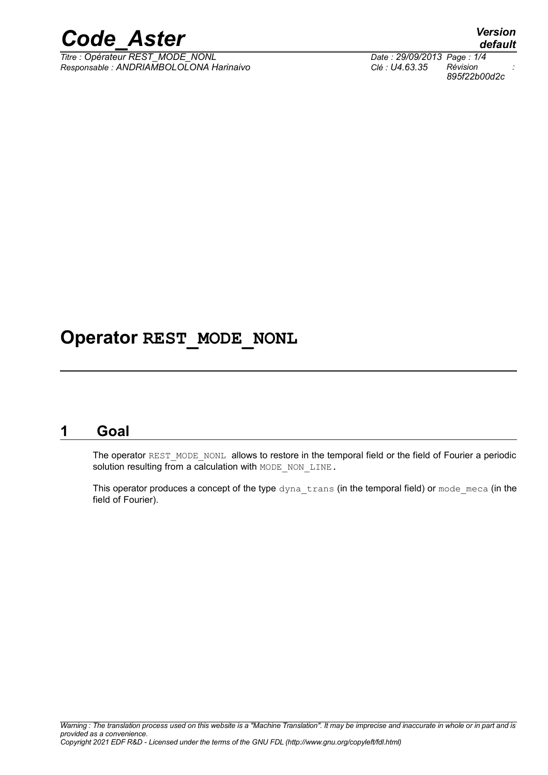

*Titre : Opérateur REST\_MODE\_NONL Date : 29/09/2013 Page : 1/4 Responsable : ANDRIAMBOLOLONA Harinaivo Clé : U4.63.35 Révision :*

*default 895f22b00d2c*

# **Operator REST\_MODE\_NONL**

### **1 Goal**

The operator REST\_MODE\_NONL allows to restore in the temporal field or the field of Fourier a periodic solution resulting from a calculation with MODE\_NON\_LINE.

This operator produces a concept of the type  $\text{dyn}$   $\text{trans}$  (in the temporal field) or mode meca (in the field of Fourier).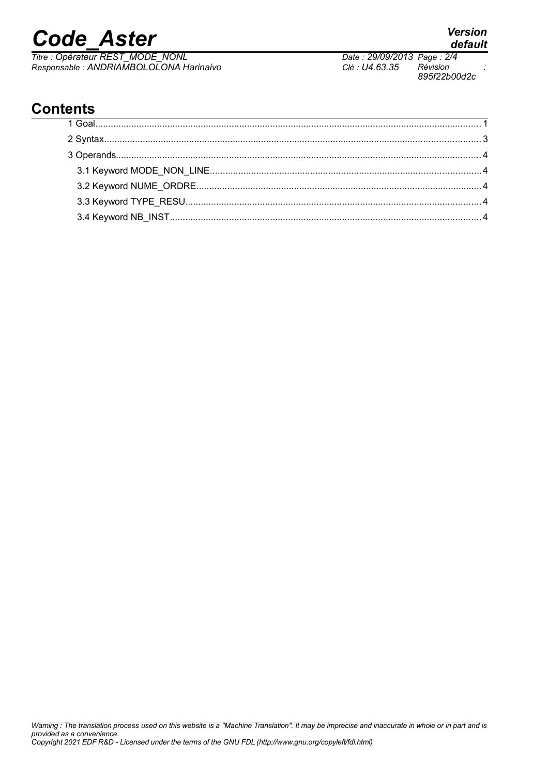# *Code\_Aster Version*

*Titre : Opérateur REST\_MODE\_NONL Date : 29/09/2013 Page : 2/4 Responsable : ANDRIAMBOLOLONA Harinaivo Clé : U4.63.35 Révision :*

*895f22b00d2c*

# **Contents**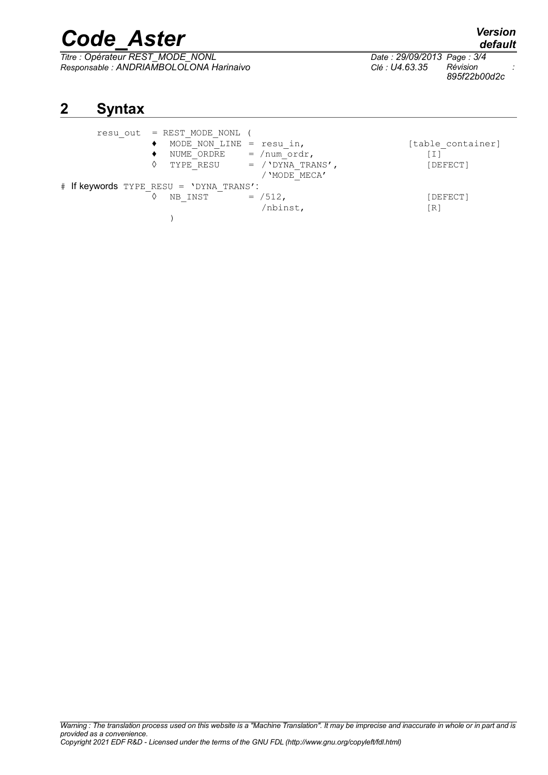# *Code\_Aster Version*

*Titre : Opérateur REST\_MODE\_NONL Date : 29/09/2013 Page : 3/4 Responsable : ANDRIAMBOLOLONA Harinaivo Clé : U4.63.35 Révision :*

*895f22b00d2c*

## **2 Syntax**

| resu out = REST MODE NONL (             |                               |                   |
|-----------------------------------------|-------------------------------|-------------------|
| MODE NON LINE = resu in,                |                               | [table container] |
| NUME ORDRE                              | $=$ /num ordr,                | ן I I             |
|                                         | TYPE RESU = $/$ 'DYNA TRANS', | [DEFECT]          |
|                                         | / 'MODE MECA'                 |                   |
| # If keywords TYPE RESU = 'DYNA TRANS': |                               |                   |
| NB INST                                 | $=$ /512,                     | [DEFECT]          |
|                                         | /nbinst,                      | [R]               |
|                                         |                               |                   |